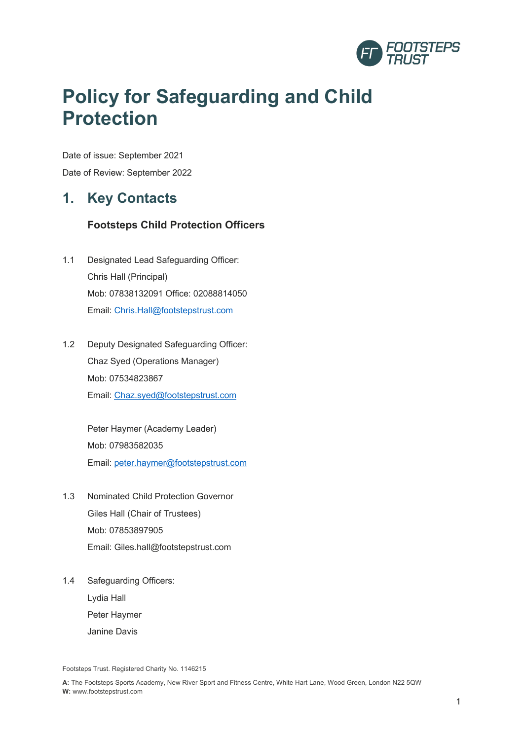

# **Policy for Safeguarding and Child Protection**

Date of issue: September 2021 Date of Review: September 2022

### **1. Key Contacts**

#### **Footsteps Child Protection Officers**

- 1.1 Designated Lead Safeguarding Officer: Chris Hall (Principal) Mob: 07838132091 Office: 02088814050 Email: Chris.Hall@footstepstrust.com
- 1.2 Deputy Designated Safeguarding Officer: Chaz Syed (Operations Manager) Mob: 07534823867 Email: Chaz.syed@footstepstrust.com

Peter Haymer (Academy Leader) Mob: 07983582035 Email: peter.haymer@footstepstrust.com

- 1.3 Nominated Child Protection Governor Giles Hall (Chair of Trustees) Mob: 07853897905 Email: Giles.hall@footstepstrust.com
- 1.4 Safeguarding Officers:

Lydia Hall Peter Haymer Janine Davis

Footsteps Trust. Registered Charity No. 1146215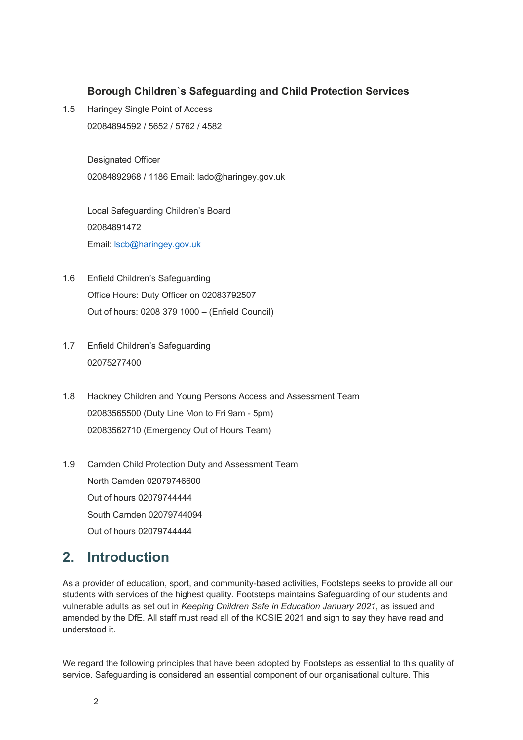#### **Borough Children`s Safeguarding and Child Protection Services**

1.5 Haringey Single Point of Access 02084894592 / 5652 / 5762 / 4582

> Designated Officer 02084892968 / 1186 Email: lado@haringey.gov.uk

Local Safeguarding Children's Board 02084891472 Email: lscb@haringey.gov.uk

- 1.6 Enfield Children's Safeguarding Office Hours: Duty Officer on 02083792507 Out of hours: 0208 379 1000 – (Enfield Council)
- 1.7 Enfield Children's Safeguarding 02075277400
- 1.8 Hackney Children and Young Persons Access and Assessment Team 02083565500 (Duty Line Mon to Fri 9am - 5pm) 02083562710 (Emergency Out of Hours Team)
- 1.9 Camden Child Protection Duty and Assessment Team North Camden 02079746600 Out of hours 02079744444 South Camden 02079744094 Out of hours 02079744444

### **2. Introduction**

As a provider of education, sport, and community-based activities, Footsteps seeks to provide all our students with services of the highest quality. Footsteps maintains Safeguarding of our students and vulnerable adults as set out in *Keeping Children Safe in Education January 2021*, as issued and amended by the DfE. All staff must read all of the KCSIE 2021 and sign to say they have read and understood it.

We regard the following principles that have been adopted by Footsteps as essential to this quality of service. Safeguarding is considered an essential component of our organisational culture. This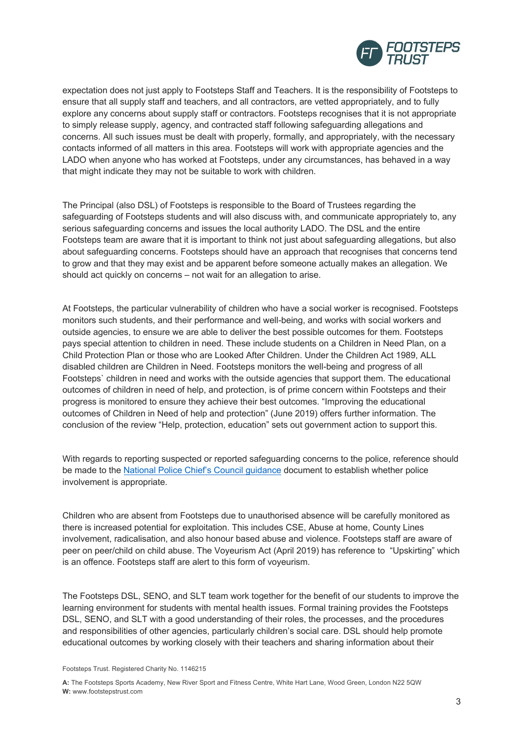

expectation does not just apply to Footsteps Staff and Teachers. It is the responsibility of Footsteps to ensure that all supply staff and teachers, and all contractors, are vetted appropriately, and to fully explore any concerns about supply staff or contractors. Footsteps recognises that it is not appropriate to simply release supply, agency, and contracted staff following safeguarding allegations and concerns. All such issues must be dealt with properly, formally, and appropriately, with the necessary contacts informed of all matters in this area. Footsteps will work with appropriate agencies and the LADO when anyone who has worked at Footsteps, under any circumstances, has behaved in a way that might indicate they may not be suitable to work with children.

The Principal (also DSL) of Footsteps is responsible to the Board of Trustees regarding the safeguarding of Footsteps students and will also discuss with, and communicate appropriately to, any serious safeguarding concerns and issues the local authority LADO. The DSL and the entire Footsteps team are aware that it is important to think not just about safeguarding allegations, but also about safeguarding concerns. Footsteps should have an approach that recognises that concerns tend to grow and that they may exist and be apparent before someone actually makes an allegation. We should act quickly on concerns – not wait for an allegation to arise.

At Footsteps, the particular vulnerability of children who have a social worker is recognised. Footsteps monitors such students, and their performance and well-being, and works with social workers and outside agencies, to ensure we are able to deliver the best possible outcomes for them. Footsteps pays special attention to children in need. These include students on a Children in Need Plan, on a Child Protection Plan or those who are Looked After Children. Under the Children Act 1989, ALL disabled children are Children in Need. Footsteps monitors the well-being and progress of all Footsteps` children in need and works with the outside agencies that support them. The educational outcomes of children in need of help, and protection, is of prime concern within Footsteps and their progress is monitored to ensure they achieve their best outcomes. "Improving the educational outcomes of Children in Need of help and protection" (June 2019) offers further information. The conclusion of the review "Help, protection, education" sets out government action to support this.

With regards to reporting suspected or reported safeguarding concerns to the police, reference should be made to the National Police Chief's Council guidance document to establish whether police involvement is appropriate.

Children who are absent from Footsteps due to unauthorised absence will be carefully monitored as there is increased potential for exploitation. This includes CSE, Abuse at home, County Lines involvement, radicalisation, and also honour based abuse and violence. Footsteps staff are aware of peer on peer/child on child abuse. The Voyeurism Act (April 2019) has reference to "Upskirting" which is an offence. Footsteps staff are alert to this form of voyeurism.

The Footsteps DSL, SENO, and SLT team work together for the benefit of our students to improve the learning environment for students with mental health issues. Formal training provides the Footsteps DSL, SENO, and SLT with a good understanding of their roles, the processes, and the procedures and responsibilities of other agencies, particularly children's social care. DSL should help promote educational outcomes by working closely with their teachers and sharing information about their

Footsteps Trust. Registered Charity No. 1146215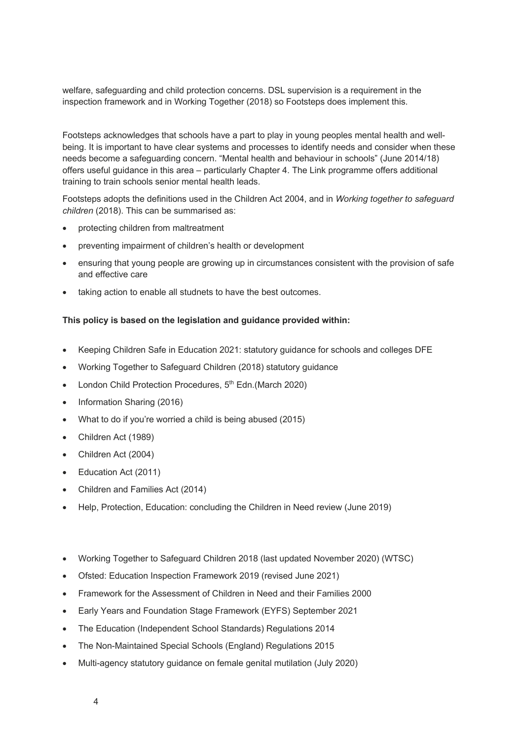welfare, safeguarding and child protection concerns. DSL supervision is a requirement in the inspection framework and in Working Together (2018) so Footsteps does implement this.

Footsteps acknowledges that schools have a part to play in young peoples mental health and wellbeing. It is important to have clear systems and processes to identify needs and consider when these needs become a safeguarding concern. "Mental health and behaviour in schools" (June 2014/18) offers useful guidance in this area – particularly Chapter 4. The Link programme offers additional training to train schools senior mental health leads.

Footsteps adopts the definitions used in the Children Act 2004, and in *Working together to safeguard children* (2018). This can be summarised as:

- protecting children from maltreatment
- preventing impairment of children's health or development
- ensuring that young people are growing up in circumstances consistent with the provision of safe and effective care
- taking action to enable all studnets to have the best outcomes.

#### **This policy is based on the legislation and guidance provided within:**

- Keeping Children Safe in Education 2021: statutory guidance for schools and colleges DFE
- Working Together to Safeguard Children (2018) statutory guidance
- London Child Protection Procedures, 5<sup>th</sup> Edn.(March 2020)
- Information Sharing (2016)
- What to do if you're worried a child is being abused (2015)
- Children Act (1989)
- Children Act (2004)
- Education Act (2011)
- Children and Families Act (2014)
- Help, Protection, Education: concluding the Children in Need review (June 2019)
- Working Together to Safeguard Children 2018 (last updated November 2020) (WTSC)
- Ofsted: Education Inspection Framework 2019 (revised June 2021)
- Framework for the Assessment of Children in Need and their Families 2000
- Early Years and Foundation Stage Framework (EYFS) September 2021
- The Education (Independent School Standards) Regulations 2014
- The Non-Maintained Special Schools (England) Regulations 2015
- Multi-agency statutory guidance on female genital mutilation (July 2020)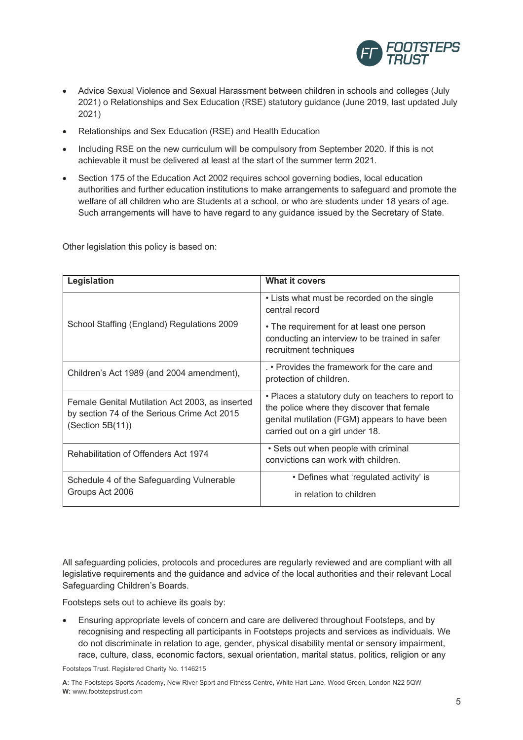

- Advice Sexual Violence and Sexual Harassment between children in schools and colleges (July 2021) o Relationships and Sex Education (RSE) statutory guidance (June 2019, last updated July 2021)
- Relationships and Sex Education (RSE) and Health Education
- Including RSE on the new curriculum will be compulsory from September 2020. If this is not achievable it must be delivered at least at the start of the summer term 2021.
- Section 175 of the Education Act 2002 requires school governing bodies, local education authorities and further education institutions to make arrangements to safeguard and promote the welfare of all children who are Students at a school, or who are students under 18 years of age. Such arrangements will have to have regard to any guidance issued by the Secretary of State.

Other legislation this policy is based on:

| Legislation                                                                                                        | <b>What it covers</b>                                                                                                                                                                |
|--------------------------------------------------------------------------------------------------------------------|--------------------------------------------------------------------------------------------------------------------------------------------------------------------------------------|
|                                                                                                                    | • Lists what must be recorded on the single<br>central record                                                                                                                        |
| School Staffing (England) Regulations 2009                                                                         | • The requirement for at least one person<br>conducting an interview to be trained in safer<br>recruitment techniques                                                                |
| Children's Act 1989 (and 2004 amendment),                                                                          | . • Provides the framework for the care and<br>protection of children.                                                                                                               |
| Female Genital Mutilation Act 2003, as inserted<br>by section 74 of the Serious Crime Act 2015<br>(Section 5B(11)) | • Places a statutory duty on teachers to report to<br>the police where they discover that female<br>genital mutilation (FGM) appears to have been<br>carried out on a girl under 18. |
| Rehabilitation of Offenders Act 1974                                                                               | • Sets out when people with criminal<br>convictions can work with children.                                                                                                          |
| Schedule 4 of the Safeguarding Vulnerable<br>Groups Act 2006                                                       | • Defines what 'regulated activity' is<br>in relation to children                                                                                                                    |

All safeguarding policies, protocols and procedures are regularly reviewed and are compliant with all legislative requirements and the guidance and advice of the local authorities and their relevant Local Safeguarding Children's Boards.

Footsteps sets out to achieve its goals by:

• Ensuring appropriate levels of concern and care are delivered throughout Footsteps, and by recognising and respecting all participants in Footsteps projects and services as individuals. We do not discriminate in relation to age, gender, physical disability mental or sensory impairment, race, culture, class, economic factors, sexual orientation, marital status, politics, religion or any

Footsteps Trust. Registered Charity No. 1146215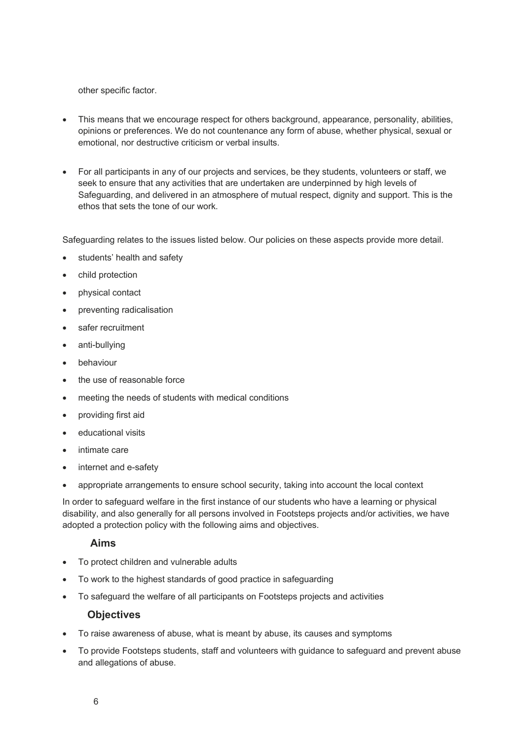other specific factor.

- This means that we encourage respect for others background, appearance, personality, abilities, opinions or preferences. We do not countenance any form of abuse, whether physical, sexual or emotional, nor destructive criticism or verbal insults.
- For all participants in any of our projects and services, be they students, volunteers or staff, we seek to ensure that any activities that are undertaken are underpinned by high levels of Safeguarding, and delivered in an atmosphere of mutual respect, dignity and support. This is the ethos that sets the tone of our work.

Safeguarding relates to the issues listed below. Our policies on these aspects provide more detail.

- students' health and safety
- child protection
- physical contact
- preventing radicalisation
- safer recruitment
- anti-bullving
- behaviour
- the use of reasonable force
- meeting the needs of students with medical conditions
- providing first aid
- educational visits
- intimate care
- internet and e-safety
- appropriate arrangements to ensure school security, taking into account the local context

In order to safeguard welfare in the first instance of our students who have a learning or physical disability, and also generally for all persons involved in Footsteps projects and/or activities, we have adopted a protection policy with the following aims and objectives.

#### **Aims**

- To protect children and vulnerable adults
- To work to the highest standards of good practice in safeguarding
- To safeguard the welfare of all participants on Footsteps projects and activities

#### **Objectives**

- To raise awareness of abuse, what is meant by abuse, its causes and symptoms
- To provide Footsteps students, staff and volunteers with guidance to safeguard and prevent abuse and allegations of abuse.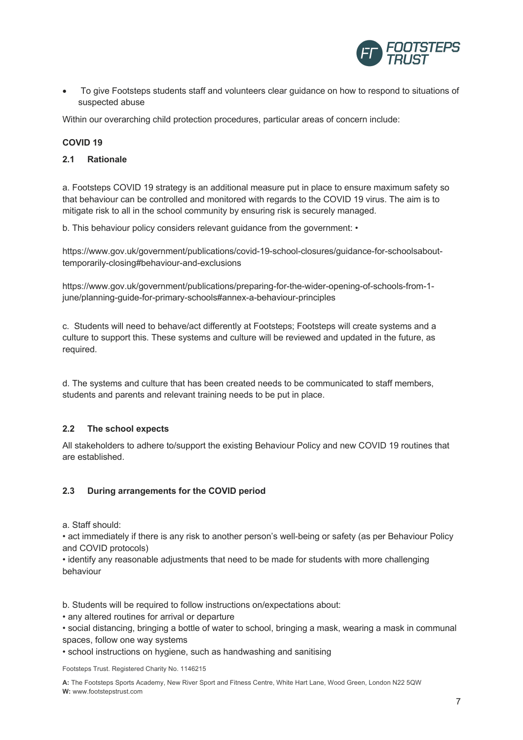

• To give Footsteps students staff and volunteers clear guidance on how to respond to situations of suspected abuse

Within our overarching child protection procedures, particular areas of concern include:

#### **COVID 19**

#### **2.1 Rationale**

a. Footsteps COVID 19 strategy is an additional measure put in place to ensure maximum safety so that behaviour can be controlled and monitored with regards to the COVID 19 virus. The aim is to mitigate risk to all in the school community by ensuring risk is securely managed.

b. This behaviour policy considers relevant guidance from the government: •

https://www.gov.uk/government/publications/covid-19-school-closures/guidance-for-schoolsabouttemporarily-closing#behaviour-and-exclusions

https://www.gov.uk/government/publications/preparing-for-the-wider-opening-of-schools-from-1 june/planning-guide-for-primary-schools#annex-a-behaviour-principles

c. Students will need to behave/act differently at Footsteps; Footsteps will create systems and a culture to support this. These systems and culture will be reviewed and updated in the future, as required.

d. The systems and culture that has been created needs to be communicated to staff members, students and parents and relevant training needs to be put in place.

#### **2.2 The school expects**

All stakeholders to adhere to/support the existing Behaviour Policy and new COVID 19 routines that are established.

#### **2.3 During arrangements for the COVID period**

a. Staff should:

• act immediately if there is any risk to another person's well-being or safety (as per Behaviour Policy and COVID protocols)

• identify any reasonable adjustments that need to be made for students with more challenging behaviour

b. Students will be required to follow instructions on/expectations about:

• any altered routines for arrival or departure

• social distancing, bringing a bottle of water to school, bringing a mask, wearing a mask in communal spaces, follow one way systems

• school instructions on hygiene, such as handwashing and sanitising

Footsteps Trust. Registered Charity No. 1146215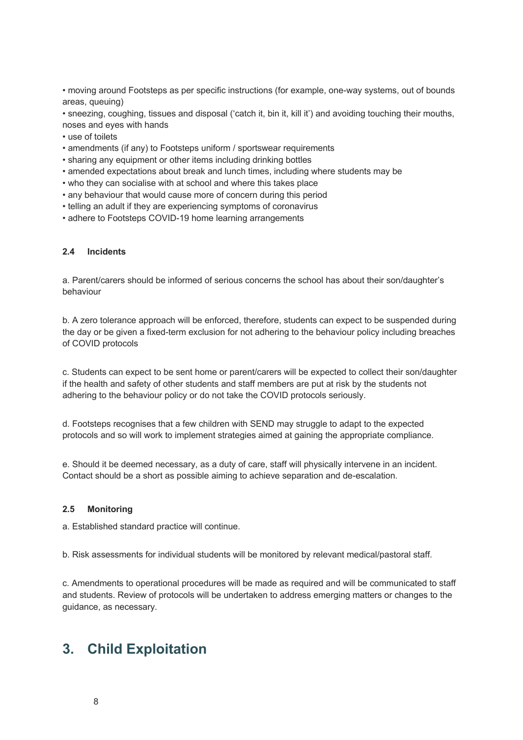• moving around Footsteps as per specific instructions (for example, one-way systems, out of bounds areas, queuing)

• sneezing, coughing, tissues and disposal ('catch it, bin it, kill it') and avoiding touching their mouths, noses and eyes with hands

- use of toilets
- amendments (if any) to Footsteps uniform / sportswear requirements
- sharing any equipment or other items including drinking bottles
- amended expectations about break and lunch times, including where students may be
- who they can socialise with at school and where this takes place
- any behaviour that would cause more of concern during this period
- telling an adult if they are experiencing symptoms of coronavirus
- adhere to Footsteps COVID-19 home learning arrangements

#### **2.4 Incidents**

a. Parent/carers should be informed of serious concerns the school has about their son/daughter's behaviour

b. A zero tolerance approach will be enforced, therefore, students can expect to be suspended during the day or be given a fixed-term exclusion for not adhering to the behaviour policy including breaches of COVID protocols

c. Students can expect to be sent home or parent/carers will be expected to collect their son/daughter if the health and safety of other students and staff members are put at risk by the students not adhering to the behaviour policy or do not take the COVID protocols seriously.

d. Footsteps recognises that a few children with SEND may struggle to adapt to the expected protocols and so will work to implement strategies aimed at gaining the appropriate compliance.

e. Should it be deemed necessary, as a duty of care, staff will physically intervene in an incident. Contact should be a short as possible aiming to achieve separation and de-escalation.

#### **2.5 Monitoring**

a. Established standard practice will continue.

b. Risk assessments for individual students will be monitored by relevant medical/pastoral staff.

c. Amendments to operational procedures will be made as required and will be communicated to staff and students. Review of protocols will be undertaken to address emerging matters or changes to the guidance, as necessary.

### **3. Child Exploitation**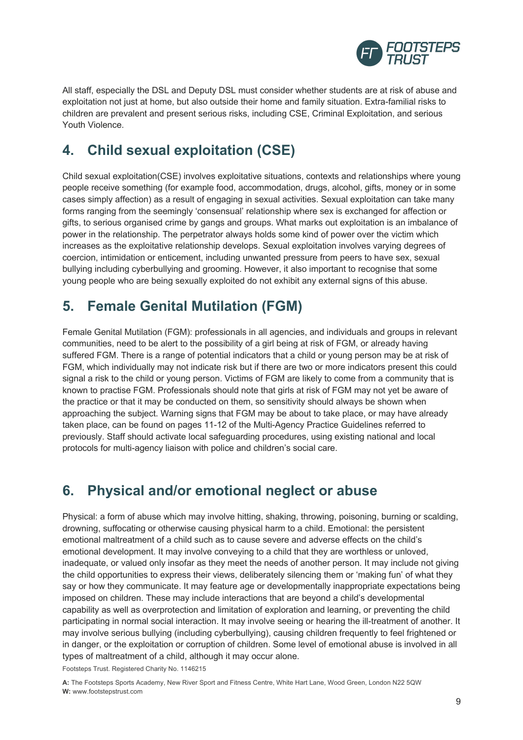

All staff, especially the DSL and Deputy DSL must consider whether students are at risk of abuse and exploitation not just at home, but also outside their home and family situation. Extra-familial risks to children are prevalent and present serious risks, including CSE, Criminal Exploitation, and serious Youth Violence.

# **4. Child sexual exploitation (CSE)**

Child sexual exploitation(CSE) involves exploitative situations, contexts and relationships where young people receive something (for example food, accommodation, drugs, alcohol, gifts, money or in some cases simply affection) as a result of engaging in sexual activities. Sexual exploitation can take many forms ranging from the seemingly 'consensual' relationship where sex is exchanged for affection or gifts, to serious organised crime by gangs and groups. What marks out exploitation is an imbalance of power in the relationship. The perpetrator always holds some kind of power over the victim which increases as the exploitative relationship develops. Sexual exploitation involves varying degrees of coercion, intimidation or enticement, including unwanted pressure from peers to have sex, sexual bullying including cyberbullying and grooming. However, it also important to recognise that some young people who are being sexually exploited do not exhibit any external signs of this abuse.

# **5. Female Genital Mutilation (FGM)**

Female Genital Mutilation (FGM): professionals in all agencies, and individuals and groups in relevant communities, need to be alert to the possibility of a girl being at risk of FGM, or already having suffered FGM. There is a range of potential indicators that a child or young person may be at risk of FGM, which individually may not indicate risk but if there are two or more indicators present this could signal a risk to the child or young person. Victims of FGM are likely to come from a community that is known to practise FGM. Professionals should note that girls at risk of FGM may not yet be aware of the practice or that it may be conducted on them, so sensitivity should always be shown when approaching the subject. Warning signs that FGM may be about to take place, or may have already taken place, can be found on pages 11-12 of the Multi-Agency Practice Guidelines referred to previously. Staff should activate local safeguarding procedures, using existing national and local protocols for multi-agency liaison with police and children's social care.

# **6. Physical and/or emotional neglect or abuse**

Physical: a form of abuse which may involve hitting, shaking, throwing, poisoning, burning or scalding, drowning, suffocating or otherwise causing physical harm to a child. Emotional: the persistent emotional maltreatment of a child such as to cause severe and adverse effects on the child's emotional development. It may involve conveying to a child that they are worthless or unloved, inadequate, or valued only insofar as they meet the needs of another person. It may include not giving the child opportunities to express their views, deliberately silencing them or 'making fun' of what they say or how they communicate. It may feature age or developmentally inappropriate expectations being imposed on children. These may include interactions that are beyond a child's developmental capability as well as overprotection and limitation of exploration and learning, or preventing the child participating in normal social interaction. It may involve seeing or hearing the ill-treatment of another. It may involve serious bullying (including cyberbullying), causing children frequently to feel frightened or in danger, or the exploitation or corruption of children. Some level of emotional abuse is involved in all types of maltreatment of a child, although it may occur alone.

Footsteps Trust. Registered Charity No. 1146215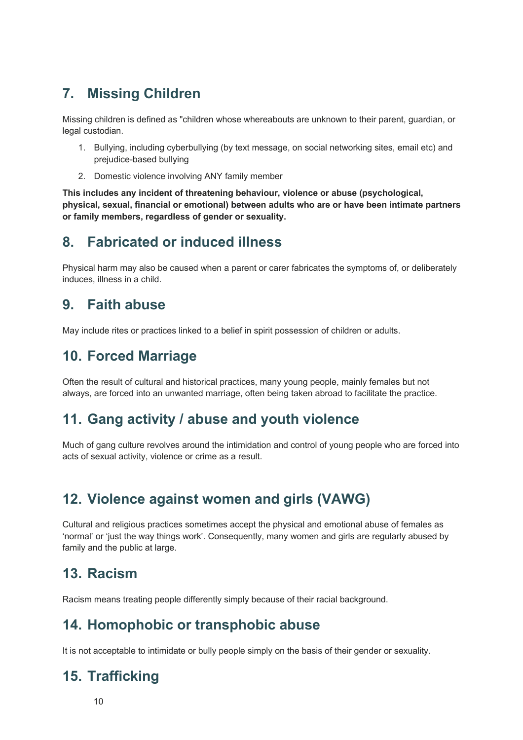# **7. Missing Children**

Missing children is defined as "children whose whereabouts are unknown to their parent, guardian, or legal custodian.

- 1. Bullying, including cyberbullying (by text message, on social networking sites, email etc) and prejudice-based bullying
- 2. Domestic violence involving ANY family member

**This includes any incident of threatening behaviour, violence or abuse (psychological, physical, sexual, financial or emotional) between adults who are or have been intimate partners or family members, regardless of gender or sexuality.**

### **8. Fabricated or induced illness**

Physical harm may also be caused when a parent or carer fabricates the symptoms of, or deliberately induces, illness in a child.

### **9. Faith abuse**

May include rites or practices linked to a belief in spirit possession of children or adults.

### **10. Forced Marriage**

Often the result of cultural and historical practices, many young people, mainly females but not always, are forced into an unwanted marriage, often being taken abroad to facilitate the practice.

### **11. Gang activity / abuse and youth violence**

Much of gang culture revolves around the intimidation and control of young people who are forced into acts of sexual activity, violence or crime as a result.

### **12. Violence against women and girls (VAWG)**

Cultural and religious practices sometimes accept the physical and emotional abuse of females as 'normal' or 'just the way things work'. Consequently, many women and girls are regularly abused by family and the public at large.

### **13. Racism**

Racism means treating people differently simply because of their racial background.

### **14. Homophobic or transphobic abuse**

It is not acceptable to intimidate or bully people simply on the basis of their gender or sexuality.

# **15. Trafficking**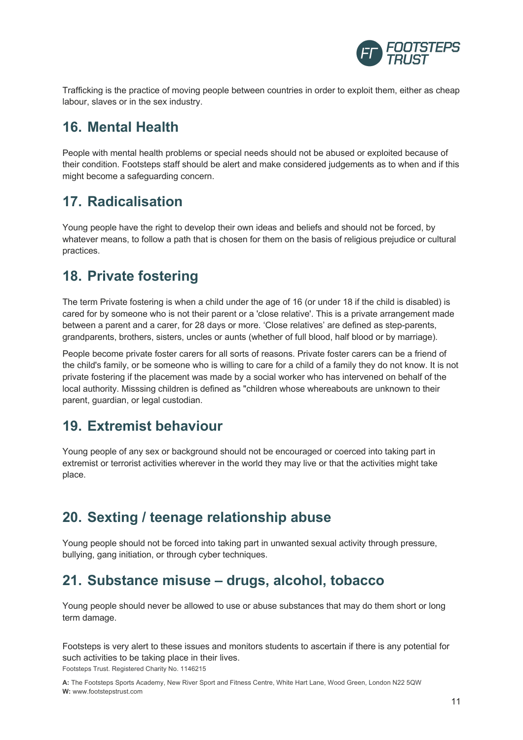

Trafficking is the practice of moving people between countries in order to exploit them, either as cheap labour, slaves or in the sex industry.

### **16. Mental Health**

People with mental health problems or special needs should not be abused or exploited because of their condition. Footsteps staff should be alert and make considered judgements as to when and if this might become a safeguarding concern.

### **17. Radicalisation**

Young people have the right to develop their own ideas and beliefs and should not be forced, by whatever means, to follow a path that is chosen for them on the basis of religious prejudice or cultural practices.

### **18. Private fostering**

The term Private fostering is when a child under the age of 16 (or under 18 if the child is disabled) is cared for by someone who is not their parent or a 'close relative'. This is a private arrangement made between a parent and a carer, for 28 days or more. 'Close relatives' are defined as step-parents, grandparents, brothers, sisters, uncles or aunts (whether of full blood, half blood or by marriage).

People become private foster carers for all sorts of reasons. Private foster carers can be a friend of the child's family, or be someone who is willing to care for a child of a family they do not know. It is not private fostering if the placement was made by a social worker who has intervened on behalf of the local authority. Misssing children is defined as "children whose whereabouts are unknown to their parent, guardian, or legal custodian.

### **19. Extremist behaviour**

Young people of any sex or background should not be encouraged or coerced into taking part in extremist or terrorist activities wherever in the world they may live or that the activities might take place.

### **20. Sexting / teenage relationship abuse**

Young people should not be forced into taking part in unwanted sexual activity through pressure, bullying, gang initiation, or through cyber techniques.

### **21. Substance misuse – drugs, alcohol, tobacco**

Young people should never be allowed to use or abuse substances that may do them short or long term damage.

Footsteps is very alert to these issues and monitors students to ascertain if there is any potential for such activities to be taking place in their lives.

Footsteps Trust. Registered Charity No. 1146215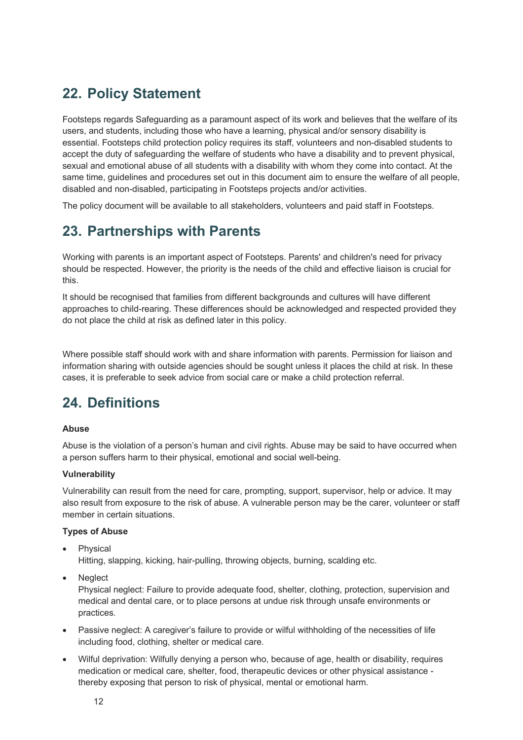# **22. Policy Statement**

Footsteps regards Safeguarding as a paramount aspect of its work and believes that the welfare of its users, and students, including those who have a learning, physical and/or sensory disability is essential. Footsteps child protection policy requires its staff, volunteers and non-disabled students to accept the duty of safeguarding the welfare of students who have a disability and to prevent physical, sexual and emotional abuse of all students with a disability with whom they come into contact. At the same time, guidelines and procedures set out in this document aim to ensure the welfare of all people, disabled and non-disabled, participating in Footsteps projects and/or activities.

The policy document will be available to all stakeholders, volunteers and paid staff in Footsteps.

### **23. Partnerships with Parents**

Working with parents is an important aspect of Footsteps. Parents' and children's need for privacy should be respected. However, the priority is the needs of the child and effective liaison is crucial for this.

It should be recognised that families from different backgrounds and cultures will have different approaches to child-rearing. These differences should be acknowledged and respected provided they do not place the child at risk as defined later in this policy.

Where possible staff should work with and share information with parents. Permission for liaison and information sharing with outside agencies should be sought unless it places the child at risk. In these cases, it is preferable to seek advice from social care or make a child protection referral.

### **24. Definitions**

#### **Abuse**

Abuse is the violation of a person's human and civil rights. Abuse may be said to have occurred when a person suffers harm to their physical, emotional and social well-being.

#### **Vulnerability**

Vulnerability can result from the need for care, prompting, support, supervisor, help or advice. It may also result from exposure to the risk of abuse. A vulnerable person may be the carer, volunteer or staff member in certain situations.

#### **Types of Abuse**

**Physical** 

Hitting, slapping, kicking, hair-pulling, throwing objects, burning, scalding etc.

**Neglect** 

Physical neglect: Failure to provide adequate food, shelter, clothing, protection, supervision and medical and dental care, or to place persons at undue risk through unsafe environments or practices.

- Passive neglect: A caregiver's failure to provide or wilful withholding of the necessities of life including food, clothing, shelter or medical care.
- Wilful deprivation: Wilfully denying a person who, because of age, health or disability, requires medication or medical care, shelter, food, therapeutic devices or other physical assistance thereby exposing that person to risk of physical, mental or emotional harm.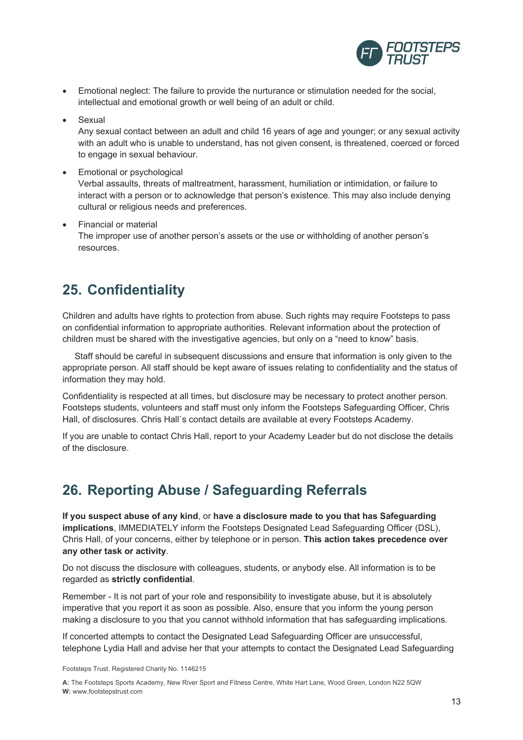

- Emotional neglect: The failure to provide the nurturance or stimulation needed for the social, intellectual and emotional growth or well being of an adult or child.
- Sexual

Any sexual contact between an adult and child 16 years of age and younger; or any sexual activity with an adult who is unable to understand, has not given consent, is threatened, coerced or forced to engage in sexual behaviour.

• Emotional or psychological

Verbal assaults, threats of maltreatment, harassment, humiliation or intimidation, or failure to interact with a person or to acknowledge that person's existence. This may also include denying cultural or religious needs and preferences.

• Financial or material The improper use of another person's assets or the use or withholding of another person's resources.

# **25. Confidentiality**

Children and adults have rights to protection from abuse. Such rights may require Footsteps to pass on confidential information to appropriate authorities. Relevant information about the protection of children must be shared with the investigative agencies, but only on a "need to know" basis.

 Staff should be careful in subsequent discussions and ensure that information is only given to the appropriate person. All staff should be kept aware of issues relating to confidentiality and the status of information they may hold.

Confidentiality is respected at all times, but disclosure may be necessary to protect another person. Footsteps students, volunteers and staff must only inform the Footsteps Safeguarding Officer, Chris Hall, of disclosures. Chris Hall`s contact details are available at every Footsteps Academy.

If you are unable to contact Chris Hall, report to your Academy Leader but do not disclose the details of the disclosure.

# **26. Reporting Abuse / Safeguarding Referrals**

**If you suspect abuse of any kind**, or **have a disclosure made to you that has Safeguarding implications**, IMMEDIATELY inform the Footsteps Designated Lead Safeguarding Officer (DSL), Chris Hall, of your concerns, either by telephone or in person. **This action takes precedence over any other task or activity**.

Do not discuss the disclosure with colleagues, students, or anybody else. All information is to be regarded as **strictly confidential**.

Remember - It is not part of your role and responsibility to investigate abuse, but it is absolutely imperative that you report it as soon as possible. Also, ensure that you inform the young person making a disclosure to you that you cannot withhold information that has safeguarding implications.

If concerted attempts to contact the Designated Lead Safeguarding Officer are unsuccessful, telephone Lydia Hall and advise her that your attempts to contact the Designated Lead Safeguarding

Footsteps Trust. Registered Charity No. 1146215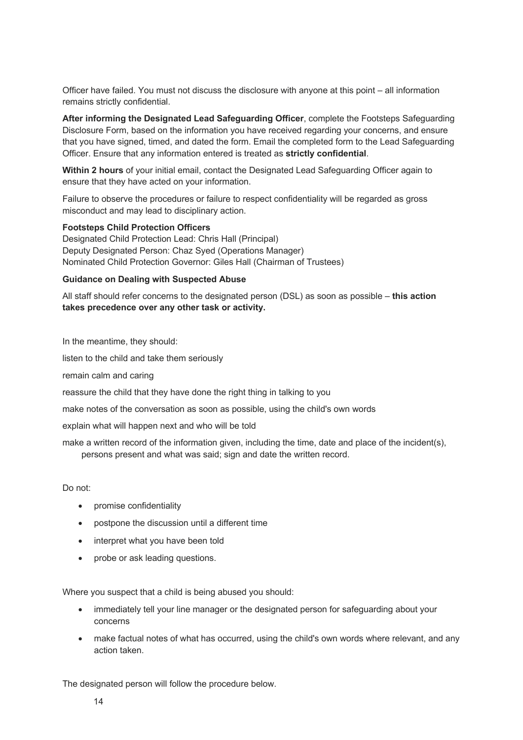Officer have failed. You must not discuss the disclosure with anyone at this point – all information remains strictly confidential.

**After informing the Designated Lead Safeguarding Officer**, complete the Footsteps Safeguarding Disclosure Form, based on the information you have received regarding your concerns, and ensure that you have signed, timed, and dated the form. Email the completed form to the Lead Safeguarding Officer. Ensure that any information entered is treated as **strictly confidential**.

**Within 2 hours** of your initial email, contact the Designated Lead Safeguarding Officer again to ensure that they have acted on your information.

Failure to observe the procedures or failure to respect confidentiality will be regarded as gross misconduct and may lead to disciplinary action.

#### **Footsteps Child Protection Officers**

Designated Child Protection Lead: Chris Hall (Principal) Deputy Designated Person: Chaz Syed (Operations Manager) Nominated Child Protection Governor: Giles Hall (Chairman of Trustees)

#### **Guidance on Dealing with Suspected Abuse**

All staff should refer concerns to the designated person (DSL) as soon as possible – **this action takes precedence over any other task or activity.** 

In the meantime, they should:

listen to the child and take them seriously

remain calm and caring

reassure the child that they have done the right thing in talking to you

make notes of the conversation as soon as possible, using the child's own words

explain what will happen next and who will be told

make a written record of the information given, including the time, date and place of the incident(s), persons present and what was said; sign and date the written record.

#### Do not:

- promise confidentiality
- postpone the discussion until a different time
- interpret what you have been told
- probe or ask leading questions.

Where you suspect that a child is being abused you should:

- immediately tell your line manager or the designated person for safeguarding about your concerns
- make factual notes of what has occurred, using the child's own words where relevant, and any action taken.

The designated person will follow the procedure below.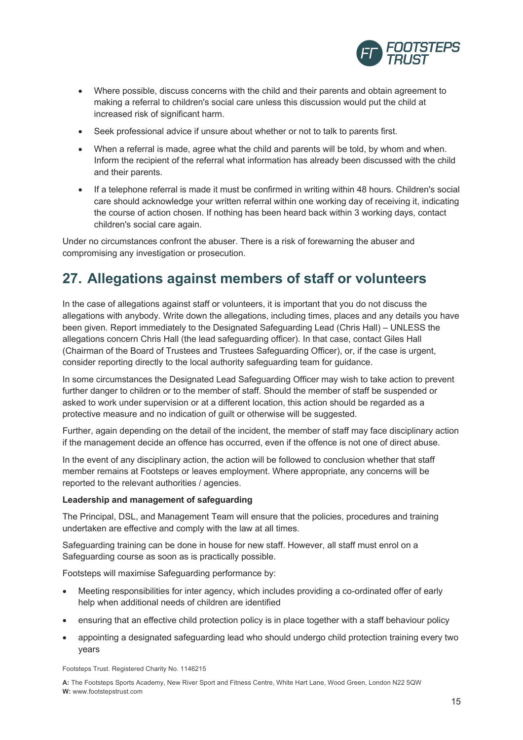

- Where possible, discuss concerns with the child and their parents and obtain agreement to making a referral to children's social care unless this discussion would put the child at increased risk of significant harm.
- Seek professional advice if unsure about whether or not to talk to parents first.
- When a referral is made, agree what the child and parents will be told, by whom and when. Inform the recipient of the referral what information has already been discussed with the child and their parents.
- If a telephone referral is made it must be confirmed in writing within 48 hours. Children's social care should acknowledge your written referral within one working day of receiving it, indicating the course of action chosen. If nothing has been heard back within 3 working days, contact children's social care again.

Under no circumstances confront the abuser. There is a risk of forewarning the abuser and compromising any investigation or prosecution.

# **27. Allegations against members of staff or volunteers**

In the case of allegations against staff or volunteers, it is important that you do not discuss the allegations with anybody. Write down the allegations, including times, places and any details you have been given. Report immediately to the Designated Safeguarding Lead (Chris Hall) – UNLESS the allegations concern Chris Hall (the lead safeguarding officer). In that case, contact Giles Hall (Chairman of the Board of Trustees and Trustees Safeguarding Officer), or, if the case is urgent, consider reporting directly to the local authority safeguarding team for guidance.

In some circumstances the Designated Lead Safeguarding Officer may wish to take action to prevent further danger to children or to the member of staff. Should the member of staff be suspended or asked to work under supervision or at a different location, this action should be regarded as a protective measure and no indication of guilt or otherwise will be suggested.

Further, again depending on the detail of the incident, the member of staff may face disciplinary action if the management decide an offence has occurred, even if the offence is not one of direct abuse.

In the event of any disciplinary action, the action will be followed to conclusion whether that staff member remains at Footsteps or leaves employment. Where appropriate, any concerns will be reported to the relevant authorities / agencies.

#### **Leadership and management of safeguarding**

The Principal, DSL, and Management Team will ensure that the policies, procedures and training undertaken are effective and comply with the law at all times.

Safeguarding training can be done in house for new staff. However, all staff must enrol on a Safeguarding course as soon as is practically possible.

Footsteps will maximise Safeguarding performance by:

- Meeting responsibilities for inter agency, which includes providing a co-ordinated offer of early help when additional needs of children are identified
- ensuring that an effective child protection policy is in place together with a staff behaviour policy
- appointing a designated safeguarding lead who should undergo child protection training every two years

Footsteps Trust. Registered Charity No. 1146215